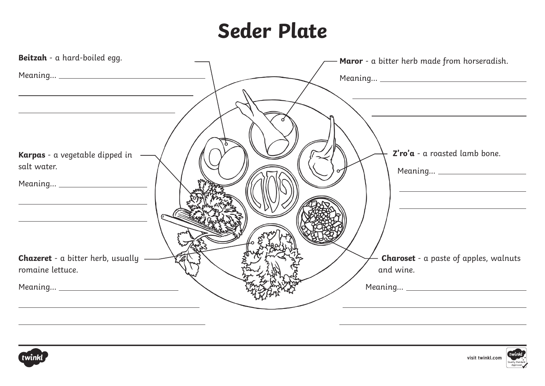## **Seder Plate**